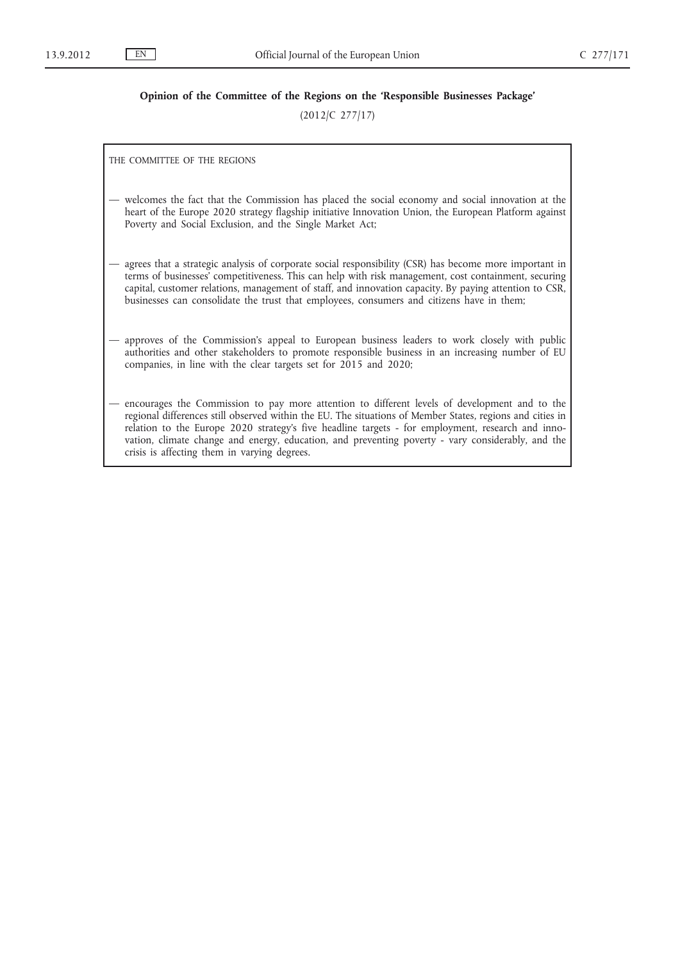# **Opinion of the Committee of the Regions on the 'Responsible Businesses Package'**

(2012/C 277/17)

THE COMMITTEE OF THE REGIONS

- welcomes the fact that the Commission has placed the social economy and social innovation at the heart of the Europe 2020 strategy flagship initiative Innovation Union, the European Platform against Poverty and Social Exclusion, and the Single Market Act;
- agrees that a strategic analysis of corporate social responsibility (CSR) has become more important in terms of businesses' competitiveness. This can help with risk management, cost containment, securing capital, customer relations, management of staff, and innovation capacity. By paying attention to CSR, businesses can consolidate the trust that employees, consumers and citizens have in them;
- approves of the Commission's appeal to European business leaders to work closely with public authorities and other stakeholders to promote responsible business in an increasing number of EU companies, in line with the clear targets set for 2015 and 2020;
- encourages the Commission to pay more attention to different levels of development and to the regional differences still observed within the EU. The situations of Member States, regions and cities in relation to the Europe 2020 strategy's five headline targets - for employment, research and innovation, climate change and energy, education, and preventing poverty - vary considerably, and the crisis is affecting them in varying degrees.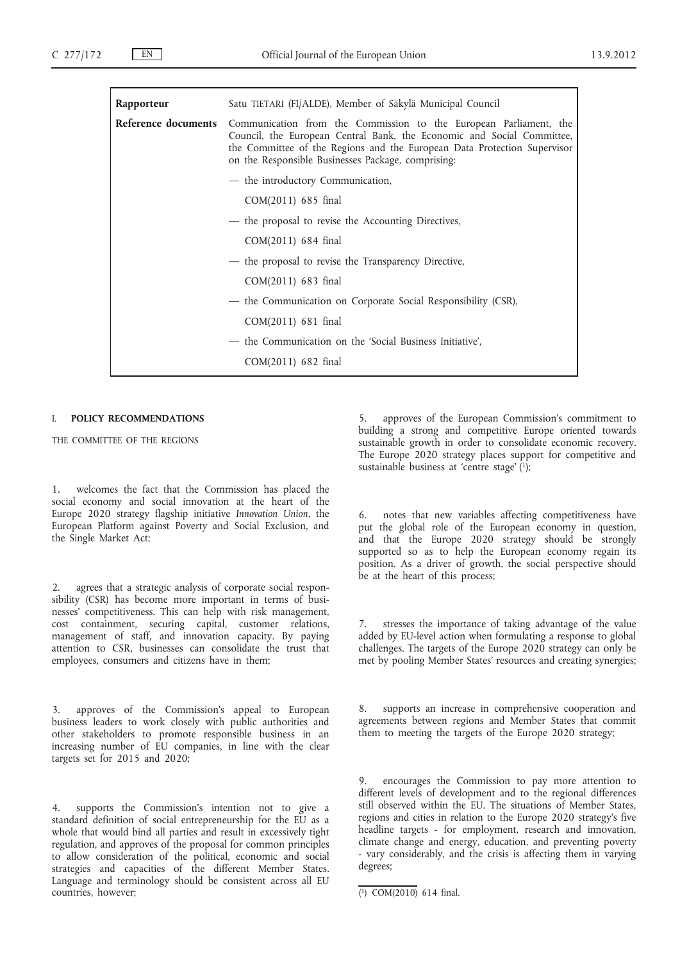| Rapporteur                 | Satu TIETARI (FI/ALDE), Member of Säkylä Municipal Council                                                                                                                                                                                                                    |
|----------------------------|-------------------------------------------------------------------------------------------------------------------------------------------------------------------------------------------------------------------------------------------------------------------------------|
| <b>Reference documents</b> | Communication from the Commission to the European Parliament, the<br>Council, the European Central Bank, the Economic and Social Committee,<br>the Committee of the Regions and the European Data Protection Supervisor<br>on the Responsible Businesses Package, comprising: |
|                            | - the introductory Communication,                                                                                                                                                                                                                                             |
|                            | COM(2011) 685 final                                                                                                                                                                                                                                                           |
|                            | - the proposal to revise the Accounting Directives,                                                                                                                                                                                                                           |
|                            | COM(2011) 684 final                                                                                                                                                                                                                                                           |
|                            | - the proposal to revise the Transparency Directive,                                                                                                                                                                                                                          |
|                            | COM(2011) 683 final                                                                                                                                                                                                                                                           |
|                            | — the Communication on Corporate Social Responsibility (CSR),                                                                                                                                                                                                                 |
|                            | COM(2011) 681 final                                                                                                                                                                                                                                                           |
|                            | - the Communication on the 'Social Business Initiative',                                                                                                                                                                                                                      |
|                            | COM(2011) 682 final                                                                                                                                                                                                                                                           |

## I. **POLICY RECOMMENDATIONS**

THE COMMITTEE OF THE REGIONS

1. welcomes the fact that the Commission has placed the social economy and social innovation at the heart of the Europe 2020 strategy flagship initiative *Innovation Union*, the European Platform against Poverty and Social Exclusion, and the Single Market Act;

2. agrees that a strategic analysis of corporate social responsibility (CSR) has become more important in terms of businesses' competitiveness. This can help with risk management, cost containment, securing capital, customer relations, management of staff, and innovation capacity. By paying attention to CSR, businesses can consolidate the trust that employees, consumers and citizens have in them;

approves of the Commission's appeal to European business leaders to work closely with public authorities and other stakeholders to promote responsible business in an increasing number of EU companies, in line with the clear targets set for 2015 and 2020;

4. supports the Commission's intention not to give a standard definition of social entrepreneurship for the EU as a whole that would bind all parties and result in excessively tight regulation, and approves of the proposal for common principles to allow consideration of the political, economic and social strategies and capacities of the different Member States. Language and terminology should be consistent across all EU countries, however;

5. approves of the European Commission's commitment to building a strong and competitive Europe oriented towards sustainable growth in order to consolidate economic recovery. The Europe 2020 strategy places support for competitive and sustainable business at 'centre stage'  $(1)$ ;

6. notes that new variables affecting competitiveness have put the global role of the European economy in question, and that the Europe 2020 strategy should be strongly supported so as to help the European economy regain its position. As a driver of growth, the social perspective should be at the heart of this process;

stresses the importance of taking advantage of the value added by EU-level action when formulating a response to global challenges. The targets of the Europe 2020 strategy can only be met by pooling Member States' resources and creating synergies;

supports an increase in comprehensive cooperation and agreements between regions and Member States that commit them to meeting the targets of the Europe 2020 strategy;

9. encourages the Commission to pay more attention to different levels of development and to the regional differences still observed within the EU. The situations of Member States, regions and cities in relation to the Europe 2020 strategy's five headline targets - for employment, research and innovation, climate change and energy, education, and preventing poverty - vary considerably, and the crisis is affecting them in varying degrees;

<sup>(</sup> 1) COM(2010) 614 final.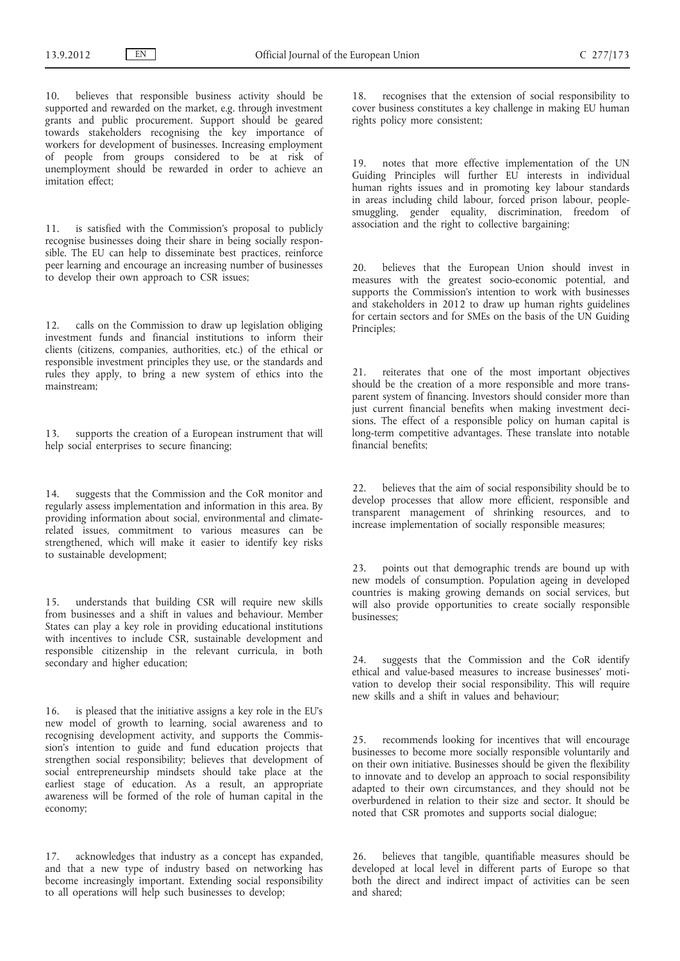10. believes that responsible business activity should be supported and rewarded on the market, e.g. through investment grants and public procurement. Support should be geared towards stakeholders recognising the key importance of workers for development of businesses. Increasing employment of people from groups considered to be at risk of unemployment should be rewarded in order to achieve an imitation effect;

11. is satisfied with the Commission's proposal to publicly recognise businesses doing their share in being socially responsible. The EU can help to disseminate best practices, reinforce peer learning and encourage an increasing number of businesses to develop their own approach to CSR issues;

12. calls on the Commission to draw up legislation obliging investment funds and financial institutions to inform their clients (citizens, companies, authorities, etc.) of the ethical or responsible investment principles they use, or the standards and rules they apply, to bring a new system of ethics into the mainstream;

13. supports the creation of a European instrument that will help social enterprises to secure financing;

14. suggests that the Commission and the CoR monitor and regularly assess implementation and information in this area. By providing information about social, environmental and climaterelated issues, commitment to various measures can be strengthened, which will make it easier to identify key risks to sustainable development;

15. understands that building CSR will require new skills from businesses and a shift in values and behaviour. Member States can play a key role in providing educational institutions with incentives to include CSR, sustainable development and responsible citizenship in the relevant curricula, in both secondary and higher education;

16. is pleased that the initiative assigns a key role in the EU's new model of growth to learning, social awareness and to recognising development activity, and supports the Commission's intention to guide and fund education projects that strengthen social responsibility; believes that development of social entrepreneurship mindsets should take place at the earliest stage of education. As a result, an appropriate awareness will be formed of the role of human capital in the economy;

17. acknowledges that industry as a concept has expanded, and that a new type of industry based on networking has become increasingly important. Extending social responsibility to all operations will help such businesses to develop;

18. recognises that the extension of social responsibility to cover business constitutes a key challenge in making EU human rights policy more consistent;

19. notes that more effective implementation of the UN Guiding Principles will further EU interests in individual human rights issues and in promoting key labour standards in areas including child labour, forced prison labour, peoplesmuggling, gender equality, discrimination, freedom of association and the right to collective bargaining;

20. believes that the European Union should invest in measures with the greatest socio-economic potential, and supports the Commission's intention to work with businesses and stakeholders in 2012 to draw up human rights guidelines for certain sectors and for SMEs on the basis of the UN Guiding Principles;

21. reiterates that one of the most important objectives should be the creation of a more responsible and more transparent system of financing. Investors should consider more than just current financial benefits when making investment decisions. The effect of a responsible policy on human capital is long-term competitive advantages. These translate into notable financial benefits;

22. believes that the aim of social responsibility should be to develop processes that allow more efficient, responsible and transparent management of shrinking resources, and to increase implementation of socially responsible measures;

23. points out that demographic trends are bound up with new models of consumption. Population ageing in developed countries is making growing demands on social services, but will also provide opportunities to create socially responsible businesses;

24. suggests that the Commission and the CoR identify ethical and value-based measures to increase businesses' motivation to develop their social responsibility. This will require new skills and a shift in values and behaviour:

25. recommends looking for incentives that will encourage businesses to become more socially responsible voluntarily and on their own initiative. Businesses should be given the flexibility to innovate and to develop an approach to social responsibility adapted to their own circumstances, and they should not be overburdened in relation to their size and sector. It should be noted that CSR promotes and supports social dialogue;

26. believes that tangible, quantifiable measures should be developed at local level in different parts of Europe so that both the direct and indirect impact of activities can be seen and shared;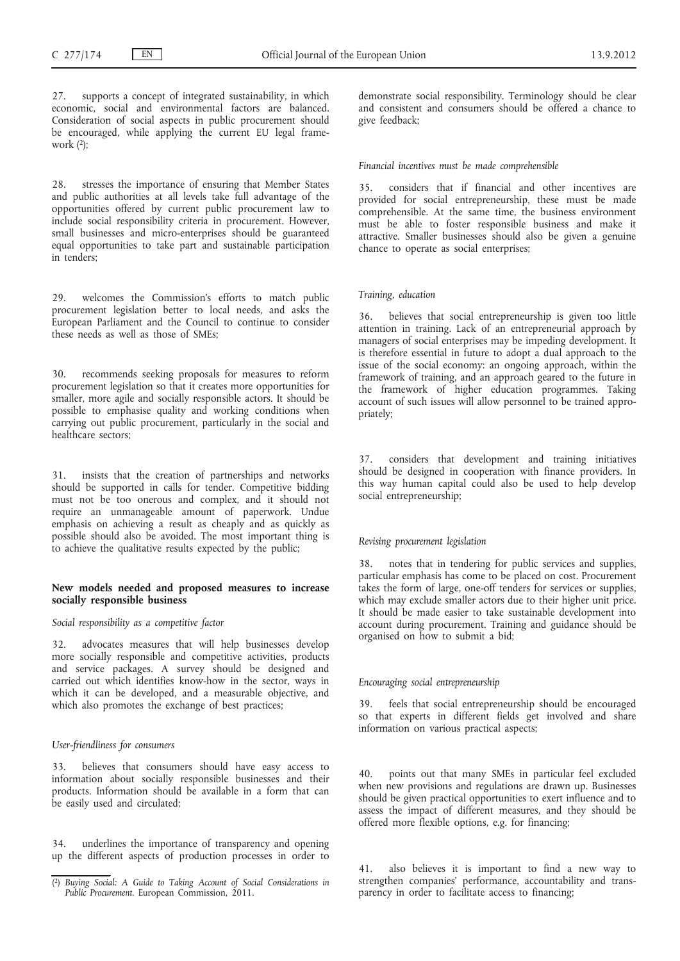27. supports a concept of integrated sustainability, in which economic, social and environmental factors are balanced. Consideration of social aspects in public procurement should be encouraged, while applying the current EU legal framework  $(2)$ ;

28. stresses the importance of ensuring that Member States and public authorities at all levels take full advantage of the opportunities offered by current public procurement law to include social responsibility criteria in procurement. However, small businesses and micro-enterprises should be guaranteed equal opportunities to take part and sustainable participation in tenders;

29. welcomes the Commission's efforts to match public procurement legislation better to local needs, and asks the European Parliament and the Council to continue to consider these needs as well as those of SMEs;

recommends seeking proposals for measures to reform procurement legislation so that it creates more opportunities for smaller, more agile and socially responsible actors. It should be possible to emphasise quality and working conditions when carrying out public procurement, particularly in the social and healthcare sectors;

31. insists that the creation of partnerships and networks should be supported in calls for tender. Competitive bidding must not be too onerous and complex, and it should not require an unmanageable amount of paperwork. Undue emphasis on achieving a result as cheaply and as quickly as possible should also be avoided. The most important thing is to achieve the qualitative results expected by the public;

### **New models needed and proposed measures to increase socially responsible business**

#### *Social responsibility as a competitive factor*

32. advocates measures that will help businesses develop more socially responsible and competitive activities, products and service packages. A survey should be designed and carried out which identifies know-how in the sector, ways in which it can be developed, and a measurable objective, and which also promotes the exchange of best practices;

### *User-friendliness for consumers*

believes that consumers should have easy access to information about socially responsible businesses and their products. Information should be available in a form that can be easily used and circulated;

34. underlines the importance of transparency and opening up the different aspects of production processes in order to demonstrate social responsibility. Terminology should be clear and consistent and consumers should be offered a chance to give feedback;

#### *Financial incentives must be made comprehensible*

35. considers that if financial and other incentives are provided for social entrepreneurship, these must be made comprehensible. At the same time, the business environment must be able to foster responsible business and make it attractive. Smaller businesses should also be given a genuine chance to operate as social enterprises;

## *Training, education*

36. believes that social entrepreneurship is given too little attention in training. Lack of an entrepreneurial approach by managers of social enterprises may be impeding development. It is therefore essential in future to adopt a dual approach to the issue of the social economy: an ongoing approach, within the framework of training, and an approach geared to the future in the framework of higher education programmes. Taking account of such issues will allow personnel to be trained appropriately;

37. considers that development and training initiatives should be designed in cooperation with finance providers. In this way human capital could also be used to help develop social entrepreneurship;

## *Revising procurement legislation*

38. notes that in tendering for public services and supplies, particular emphasis has come to be placed on cost. Procurement takes the form of large, one-off tenders for services or supplies, which may exclude smaller actors due to their higher unit price. It should be made easier to take sustainable development into account during procurement. Training and guidance should be organised on how to submit a bid;

### *Encouraging social entrepreneurship*

feels that social entrepreneurship should be encouraged so that experts in different fields get involved and share information on various practical aspects;

40. points out that many SMEs in particular feel excluded when new provisions and regulations are drawn up. Businesses should be given practical opportunities to exert influence and to assess the impact of different measures, and they should be offered more flexible options, e.g. for financing;

41. also believes it is important to find a new way to strengthen companies' performance, accountability and transparency in order to facilitate access to financing;

<sup>(</sup> 2) *Buying Social: A Guide to Taking Account of Social Considerations in Public Procurement*. European Commission, 2011.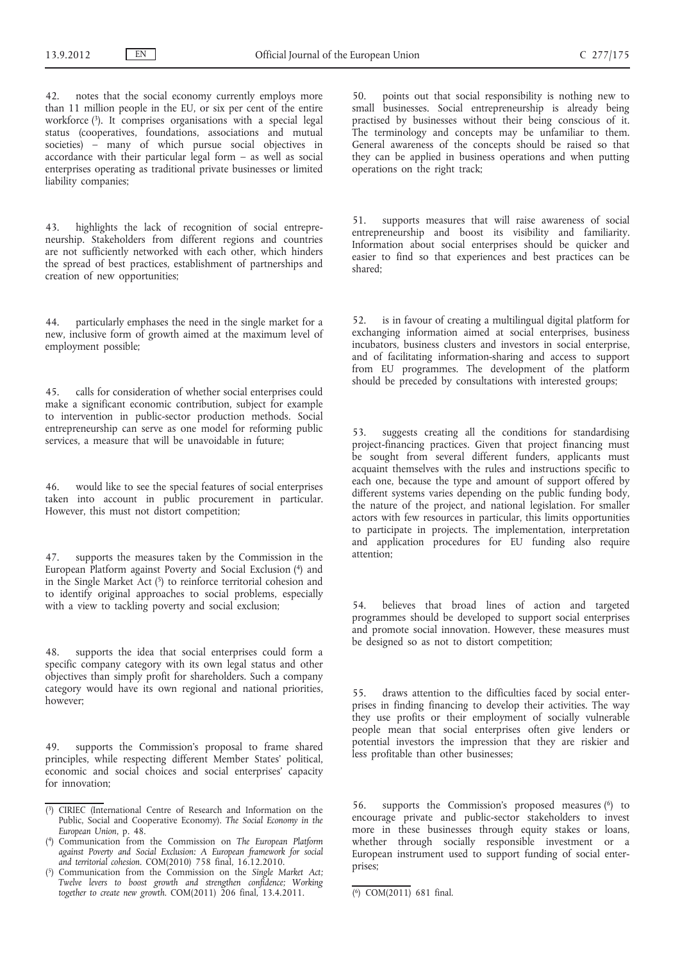42. notes that the social economy currently employs more than 11 million people in the EU, or six per cent of the entire workforce (3). It comprises organisations with a special legal status (cooperatives, foundations, associations and mutual societies) – many of which pursue social objectives in accordance with their particular legal form – as well as social enterprises operating as traditional private businesses or limited liability companies;

43. highlights the lack of recognition of social entrepreneurship. Stakeholders from different regions and countries are not sufficiently networked with each other, which hinders the spread of best practices, establishment of partnerships and creation of new opportunities;

44. particularly emphases the need in the single market for a new, inclusive form of growth aimed at the maximum level of employment possible;

45. calls for consideration of whether social enterprises could make a significant economic contribution, subject for example to intervention in public-sector production methods. Social entrepreneurship can serve as one model for reforming public services, a measure that will be unavoidable in future;

46. would like to see the special features of social enterprises taken into account in public procurement in particular. However, this must not distort competition;

47. supports the measures taken by the Commission in the European Platform against Poverty and Social Exclusion (4) and in the Single Market Act  $(5)$  to reinforce territorial cohesion and to identify original approaches to social problems, especially with a view to tackling poverty and social exclusion;

48. supports the idea that social enterprises could form a specific company category with its own legal status and other objectives than simply profit for shareholders. Such a company category would have its own regional and national priorities, however;

49. supports the Commission's proposal to frame shared principles, while respecting different Member States' political, economic and social choices and social enterprises' capacity for innovation;

50. points out that social responsibility is nothing new to small businesses. Social entrepreneurship is already being practised by businesses without their being conscious of it. The terminology and concepts may be unfamiliar to them. General awareness of the concepts should be raised so that they can be applied in business operations and when putting operations on the right track;

51. supports measures that will raise awareness of social entrepreneurship and boost its visibility and familiarity. Information about social enterprises should be quicker and easier to find so that experiences and best practices can be shared;

52. is in favour of creating a multilingual digital platform for exchanging information aimed at social enterprises, business incubators, business clusters and investors in social enterprise, and of facilitating information-sharing and access to support from EU programmes. The development of the platform should be preceded by consultations with interested groups;

53. suggests creating all the conditions for standardising project-financing practices. Given that project financing must be sought from several different funders, applicants must acquaint themselves with the rules and instructions specific to each one, because the type and amount of support offered by different systems varies depending on the public funding body, the nature of the project, and national legislation. For smaller actors with few resources in particular, this limits opportunities to participate in projects. The implementation, interpretation and application procedures for EU funding also require attention;

54. believes that broad lines of action and targeted programmes should be developed to support social enterprises and promote social innovation. However, these measures must be designed so as not to distort competition;

55. draws attention to the difficulties faced by social enterprises in finding financing to develop their activities. The way they use profits or their employment of socially vulnerable people mean that social enterprises often give lenders or potential investors the impression that they are riskier and less profitable than other businesses;

56. supports the Commission's proposed measures (6) to encourage private and public-sector stakeholders to invest more in these businesses through equity stakes or loans, whether through socially responsible investment or a European instrument used to support funding of social enterprises;

<sup>(</sup> 3) CIRIEC (International Centre of Research and Information on the Public, Social and Cooperative Economy). *The Social Economy in the European Union*, p. 48.

<sup>(</sup> 4) Communication from the Commission on *The European Platform against Poverty and Social Exclusion: A European framework for social and territorial cohesion*. COM(2010) 758 final, 16.12.2010.

<sup>(</sup> 5) Communication from the Commission on the *Single Market Act; Twelve levers to boost growth and strengthen confidence; Working together to create new growth.* COM(2011) 206 final, 13.4.2011. (6) COM(2011) 681 final.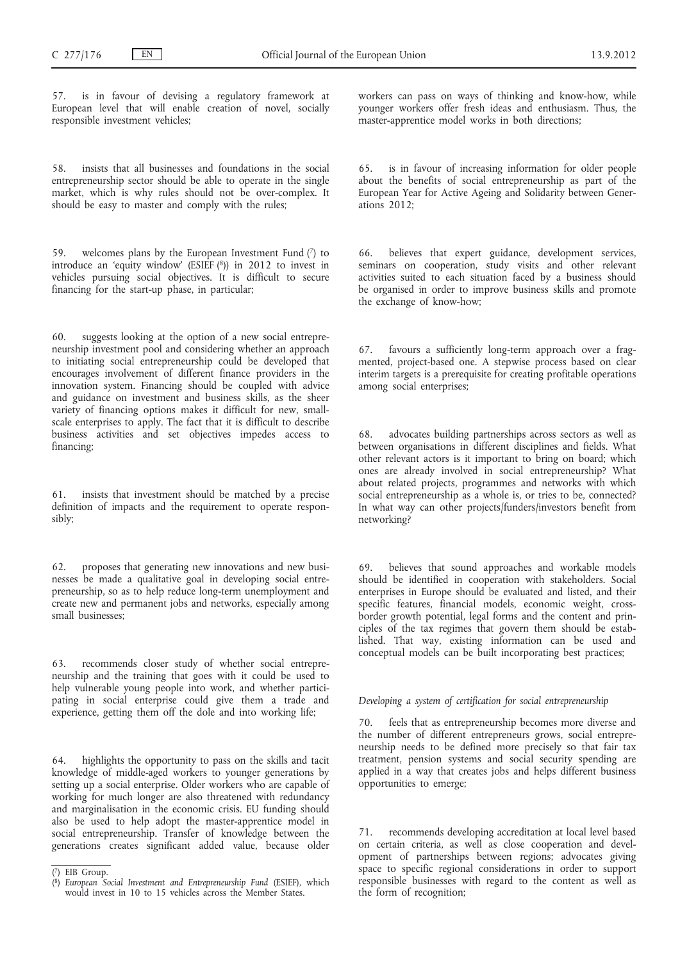57. is in favour of devising a regulatory framework at European level that will enable creation of novel, socially responsible investment vehicles;

58. insists that all businesses and foundations in the social entrepreneurship sector should be able to operate in the single market, which is why rules should not be over-complex. It should be easy to master and comply with the rules;

59. welcomes plans by the European Investment Fund  $(7)$  to introduce an 'equity window' (ESIEF  $(8)$ ) in 2012 to invest in vehicles pursuing social objectives. It is difficult to secure financing for the start-up phase, in particular;

60. suggests looking at the option of a new social entrepreneurship investment pool and considering whether an approach to initiating social entrepreneurship could be developed that encourages involvement of different finance providers in the innovation system. Financing should be coupled with advice and guidance on investment and business skills, as the sheer variety of financing options makes it difficult for new, smallscale enterprises to apply. The fact that it is difficult to describe business activities and set objectives impedes access to financing;

61. insists that investment should be matched by a precise definition of impacts and the requirement to operate responsibly;

62. proposes that generating new innovations and new businesses be made a qualitative goal in developing social entrepreneurship, so as to help reduce long-term unemployment and create new and permanent jobs and networks, especially among small businesses;

63. recommends closer study of whether social entrepreneurship and the training that goes with it could be used to help vulnerable young people into work, and whether participating in social enterprise could give them a trade and experience, getting them off the dole and into working life;

64. highlights the opportunity to pass on the skills and tacit knowledge of middle-aged workers to younger generations by setting up a social enterprise. Older workers who are capable of working for much longer are also threatened with redundancy and marginalisation in the economic crisis. EU funding should also be used to help adopt the master-apprentice model in social entrepreneurship. Transfer of knowledge between the generations creates significant added value, because older

workers can pass on ways of thinking and know-how, while younger workers offer fresh ideas and enthusiasm. Thus, the master-apprentice model works in both directions;

65. is in favour of increasing information for older people about the benefits of social entrepreneurship as part of the European Year for Active Ageing and Solidarity between Generations 2012;

66. believes that expert guidance, development services, seminars on cooperation, study visits and other relevant activities suited to each situation faced by a business should be organised in order to improve business skills and promote the exchange of know-how;

67. favours a sufficiently long-term approach over a fragmented, project-based one. A stepwise process based on clear interim targets is a prerequisite for creating profitable operations among social enterprises;

68. advocates building partnerships across sectors as well as between organisations in different disciplines and fields. What other relevant actors is it important to bring on board; which ones are already involved in social entrepreneurship? What about related projects, programmes and networks with which social entrepreneurship as a whole is, or tries to be, connected? In what way can other projects/funders/investors benefit from networking?

69. believes that sound approaches and workable models should be identified in cooperation with stakeholders. Social enterprises in Europe should be evaluated and listed, and their specific features, financial models, economic weight, crossborder growth potential, legal forms and the content and principles of the tax regimes that govern them should be established. That way, existing information can be used and conceptual models can be built incorporating best practices;

## *Developing a system of certification for social entrepreneurship*

70. feels that as entrepreneurship becomes more diverse and the number of different entrepreneurs grows, social entrepreneurship needs to be defined more precisely so that fair tax treatment, pension systems and social security spending are applied in a way that creates jobs and helps different business opportunities to emerge;

71. recommends developing accreditation at local level based on certain criteria, as well as close cooperation and development of partnerships between regions; advocates giving space to specific regional considerations in order to support responsible businesses with regard to the content as well as the form of recognition;

<sup>(</sup> 7) EIB Group.

<sup>(</sup> 8) *European Social Investment and Entrepreneurship Fund* (ESIEF), which would invest in 10 to 15 vehicles across the Member States.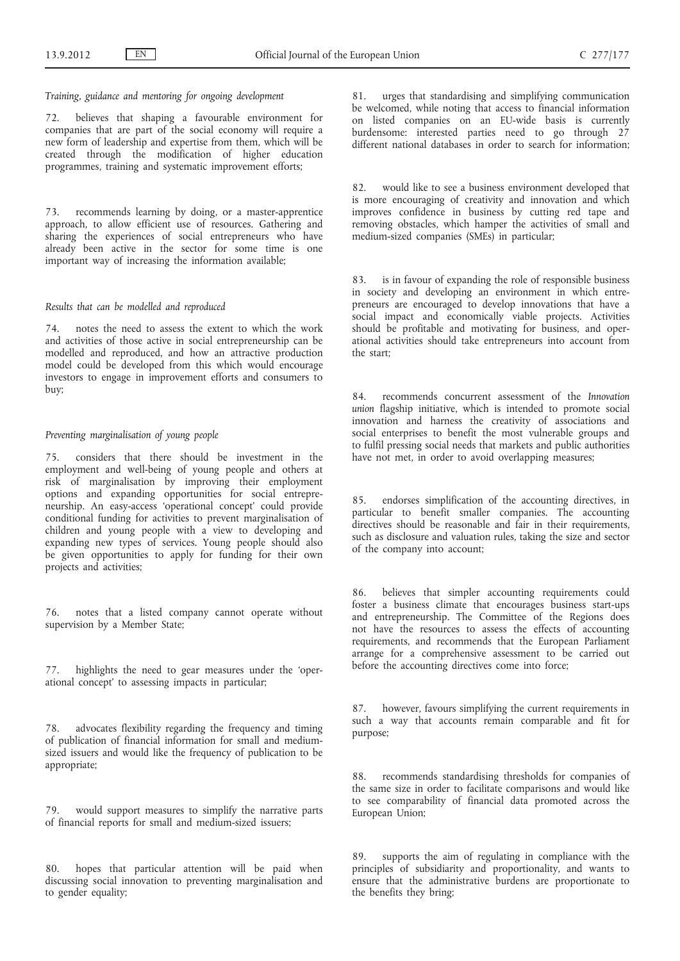*Training, guidance and mentoring for ongoing development*

72. believes that shaping a favourable environment for companies that are part of the social economy will require a new form of leadership and expertise from them, which will be created through the modification of higher education programmes, training and systematic improvement efforts;

73. recommends learning by doing, or a master-apprentice approach, to allow efficient use of resources. Gathering and sharing the experiences of social entrepreneurs who have already been active in the sector for some time is one important way of increasing the information available;

### *Results that can be modelled and reproduced*

74. notes the need to assess the extent to which the work and activities of those active in social entrepreneurship can be modelled and reproduced, and how an attractive production model could be developed from this which would encourage investors to engage in improvement efforts and consumers to buy;

## *Preventing marginalisation of young people*

75. considers that there should be investment in the employment and well-being of young people and others at risk of marginalisation by improving their employment options and expanding opportunities for social entrepreneurship. An easy-access 'operational concept' could provide conditional funding for activities to prevent marginalisation of children and young people with a view to developing and expanding new types of services. Young people should also be given opportunities to apply for funding for their own projects and activities;

76. notes that a listed company cannot operate without supervision by a Member State;

77. highlights the need to gear measures under the 'operational concept' to assessing impacts in particular;

78. advocates flexibility regarding the frequency and timing of publication of financial information for small and mediumsized issuers and would like the frequency of publication to be appropriate;

79. would support measures to simplify the narrative parts of financial reports for small and medium-sized issuers;

80. hopes that particular attention will be paid when discussing social innovation to preventing marginalisation and to gender equality;

81. urges that standardising and simplifying communication be welcomed, while noting that access to financial information on listed companies on an EU-wide basis is currently burdensome: interested parties need to go through 27 different national databases in order to search for information;

82. would like to see a business environment developed that is more encouraging of creativity and innovation and which improves confidence in business by cutting red tape and removing obstacles, which hamper the activities of small and medium-sized companies (SMEs) in particular;

83. is in favour of expanding the role of responsible business in society and developing an environment in which entrepreneurs are encouraged to develop innovations that have a social impact and economically viable projects. Activities should be profitable and motivating for business, and operational activities should take entrepreneurs into account from the start;

84. recommends concurrent assessment of the *Innovation union* flagship initiative, which is intended to promote social innovation and harness the creativity of associations and social enterprises to benefit the most vulnerable groups and to fulfil pressing social needs that markets and public authorities have not met, in order to avoid overlapping measures:

85. endorses simplification of the accounting directives, in particular to benefit smaller companies. The accounting directives should be reasonable and fair in their requirements, such as disclosure and valuation rules, taking the size and sector of the company into account;

86. believes that simpler accounting requirements could foster a business climate that encourages business start-ups and entrepreneurship. The Committee of the Regions does not have the resources to assess the effects of accounting requirements, and recommends that the European Parliament arrange for a comprehensive assessment to be carried out before the accounting directives come into force;

87. however, favours simplifying the current requirements in such a way that accounts remain comparable and fit for purpose;

88. recommends standardising thresholds for companies of the same size in order to facilitate comparisons and would like to see comparability of financial data promoted across the European Union;

89. supports the aim of regulating in compliance with the principles of subsidiarity and proportionality, and wants to ensure that the administrative burdens are proportionate to the benefits they bring;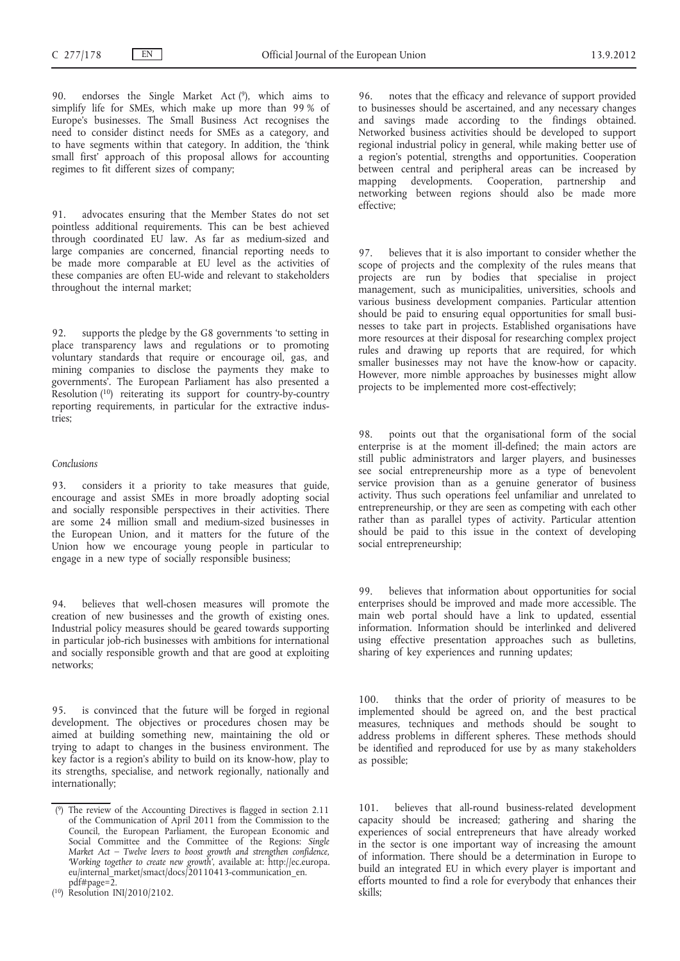90. endorses the Single Market Act (9), which aims to simplify life for SMEs, which make up more than 99 % of Europe's businesses. The Small Business Act recognises the need to consider distinct needs for SMEs as a category, and to have segments within that category. In addition, the 'think small first' approach of this proposal allows for accounting regimes to fit different sizes of company;

91. advocates ensuring that the Member States do not set pointless additional requirements. This can be best achieved through coordinated EU law. As far as medium-sized and large companies are concerned, financial reporting needs to be made more comparable at EU level as the activities of these companies are often EU-wide and relevant to stakeholders throughout the internal market;

92. supports the pledge by the G8 governments 'to setting in place transparency laws and regulations or to promoting voluntary standards that require or encourage oil, gas, and mining companies to disclose the payments they make to governments'. The European Parliament has also presented a Resolution  $(10)$  reiterating its support for country-by-country reporting requirements, in particular for the extractive industries;

#### *Conclusions*

93. considers it a priority to take measures that guide, encourage and assist SMEs in more broadly adopting social and socially responsible perspectives in their activities. There are some 24 million small and medium-sized businesses in the European Union, and it matters for the future of the Union how we encourage young people in particular to engage in a new type of socially responsible business;

94. believes that well-chosen measures will promote the creation of new businesses and the growth of existing ones. Industrial policy measures should be geared towards supporting in particular job-rich businesses with ambitions for international and socially responsible growth and that are good at exploiting networks;

95. is convinced that the future will be forged in regional development. The objectives or procedures chosen may be aimed at building something new, maintaining the old or trying to adapt to changes in the business environment. The key factor is a region's ability to build on its know-how, play to its strengths, specialise, and network regionally, nationally and internationally;

96. notes that the efficacy and relevance of support provided to businesses should be ascertained, and any necessary changes and savings made according to the findings obtained. Networked business activities should be developed to support regional industrial policy in general, while making better use of a region's potential, strengths and opportunities. Cooperation between central and peripheral areas can be increased by mapping developments. Cooperation, partnership and networking between regions should also be made more effective;

97. believes that it is also important to consider whether the scope of projects and the complexity of the rules means that projects are run by bodies that specialise in project management, such as municipalities, universities, schools and various business development companies. Particular attention should be paid to ensuring equal opportunities for small businesses to take part in projects. Established organisations have more resources at their disposal for researching complex project rules and drawing up reports that are required, for which smaller businesses may not have the know-how or capacity. However, more nimble approaches by businesses might allow projects to be implemented more cost-effectively;

98. points out that the organisational form of the social enterprise is at the moment ill-defined; the main actors are still public administrators and larger players, and businesses see social entrepreneurship more as a type of benevolent service provision than as a genuine generator of business activity. Thus such operations feel unfamiliar and unrelated to entrepreneurship, or they are seen as competing with each other rather than as parallel types of activity. Particular attention should be paid to this issue in the context of developing social entrepreneurship;

99. believes that information about opportunities for social enterprises should be improved and made more accessible. The main web portal should have a link to updated, essential information. Information should be interlinked and delivered using effective presentation approaches such as bulletins, sharing of key experiences and running updates;

100. thinks that the order of priority of measures to be implemented should be agreed on, and the best practical measures, techniques and methods should be sought to address problems in different spheres. These methods should be identified and reproduced for use by as many stakeholders as possible;

101. believes that all-round business-related development capacity should be increased; gathering and sharing the experiences of social entrepreneurs that have already worked in the sector is one important way of increasing the amount of information. There should be a determination in Europe to build an integrated EU in which every player is important and efforts mounted to find a role for everybody that enhances their skills;

<sup>(</sup> 9) The review of the Accounting Directives is flagged in section 2.11 of the Communication of April 2011 from the Commission to the Council, the European Parliament, the European Economic and Social Committee and the Committee of the Regions: *Single Market Act – Twelve levers to boost growth and strengthen confidence, 'Working together to create new growth'*, available at: [http://ec.europa.](http://ec.europa.eu/internal_market/smact/docs/20110413-communication_en.pdf#page=2) eu/internal<sup>omarket/smact/docs/20110413-communication en.</sup> [pdf#page=2.](http://ec.europa.eu/internal_market/smact/docs/20110413-communication_en.pdf#page=2)

<sup>(</sup> 10) Resolution INI/2010/2102.